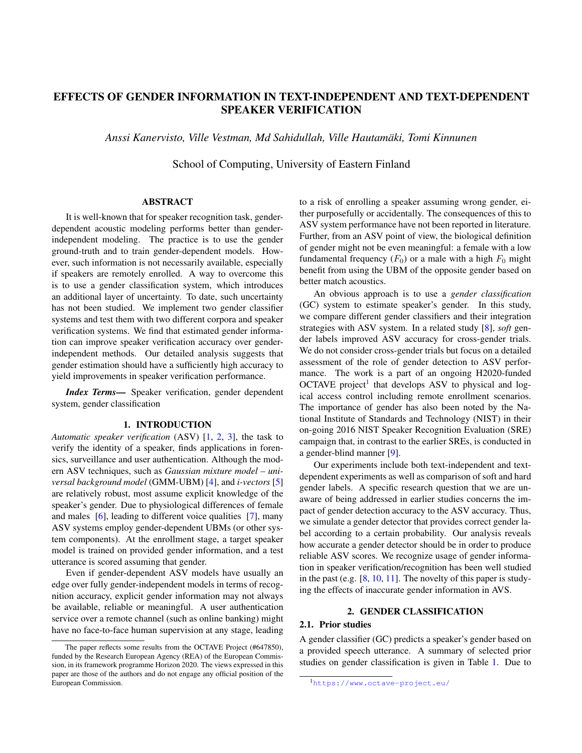# EFFECTS OF GENDER INFORMATION IN TEXT-INDEPENDENT AND TEXT-DEPENDENT SPEAKER VERIFICATION

*Anssi Kanervisto, Ville Vestman, Md Sahidullah, Ville Hautamaki, Tomi Kinnunen ¨*

School of Computing, University of Eastern Finland

## ABSTRACT

It is well-known that for speaker recognition task, genderdependent acoustic modeling performs better than genderindependent modeling. The practice is to use the gender ground-truth and to train gender-dependent models. However, such information is not necessarily available, especially if speakers are remotely enrolled. A way to overcome this is to use a gender classification system, which introduces an additional layer of uncertainty. To date, such uncertainty has not been studied. We implement two gender classifier systems and test them with two different corpora and speaker verification systems. We find that estimated gender information can improve speaker verification accuracy over genderindependent methods. Our detailed analysis suggests that gender estimation should have a sufficiently high accuracy to yield improvements in speaker verification performance.

*Index Terms*— Speaker verification, gender dependent system, gender classification

## 1. INTRODUCTION

*Automatic speaker verification* (ASV) [\[1,](#page-4-0) [2,](#page-4-1) [3\]](#page-4-2), the task to verify the identity of a speaker, finds applications in forensics, surveillance and user authentication. Although the modern ASV techniques, such as *Gaussian mixture model – universal background model* (GMM-UBM) [\[4\]](#page-4-3), and *i-vectors* [\[5\]](#page-4-4) are relatively robust, most assume explicit knowledge of the speaker's gender. Due to physiological differences of female and males [\[6\]](#page-4-5), leading to different voice qualities [\[7\]](#page-4-6), many ASV systems employ gender-dependent UBMs (or other system components). At the enrollment stage, a target speaker model is trained on provided gender information, and a test utterance is scored assuming that gender.

Even if gender-dependent ASV models have usually an edge over fully gender-independent models in terms of recognition accuracy, explicit gender information may not always be available, reliable or meaningful. A user authentication service over a remote channel (such as online banking) might have no face-to-face human supervision at any stage, leading to a risk of enrolling a speaker assuming wrong gender, either purposefully or accidentally. The consequences of this to ASV system performance have not been reported in literature. Further, from an ASV point of view, the biological definition of gender might not be even meaningful: a female with a low fundamental frequency  $(F_0)$  or a male with a high  $F_0$  might benefit from using the UBM of the opposite gender based on better match acoustics.

An obvious approach is to use a *gender classification* (GC) system to estimate speaker's gender. In this study, we compare different gender classifiers and their integration strategies with ASV system. In a related study [\[8\]](#page-4-7), *soft* gender labels improved ASV accuracy for cross-gender trials. We do not consider cross-gender trials but focus on a detailed assessment of the role of gender detection to ASV performance. The work is a part of an ongoing H2020-funded OCTAVE project<sup>[1](#page-0-0)</sup> that develops ASV to physical and logical access control including remote enrollment scenarios. The importance of gender has also been noted by the National Institute of Standards and Technology (NIST) in their on-going 2016 NIST Speaker Recognition Evaluation (SRE) campaign that, in contrast to the earlier SREs, is conducted in a gender-blind manner [\[9\]](#page-4-8).

Our experiments include both text-independent and textdependent experiments as well as comparison of soft and hard gender labels. A specific research question that we are unaware of being addressed in earlier studies concerns the impact of gender detection accuracy to the ASV accuracy. Thus, we simulate a gender detector that provides correct gender label according to a certain probability. Our analysis reveals how accurate a gender detector should be in order to produce reliable ASV scores. We recognize usage of gender information in speaker verification/recognition has been well studied in the past (e.g. [\[8,](#page-4-7) [10,](#page-4-9) [11\]](#page-4-10). The novelty of this paper is studying the effects of inaccurate gender information in AVS.

## 2. GENDER CLASSIFICATION

## 2.1. Prior studies

A gender classifier (GC) predicts a speaker's gender based on a provided speech utterance. A summary of selected prior studies on gender classification is given in Table [1.](#page-1-0) Due to

The paper reflects some results from the OCTAVE Project (#647850), funded by the Research European Agency (REA) of the European Commission, in its framework programme Horizon 2020. The views expressed in this paper are those of the authors and do not engage any official position of the European Commission.

<span id="page-0-0"></span><sup>1</sup><https://www.octave-project.eu/>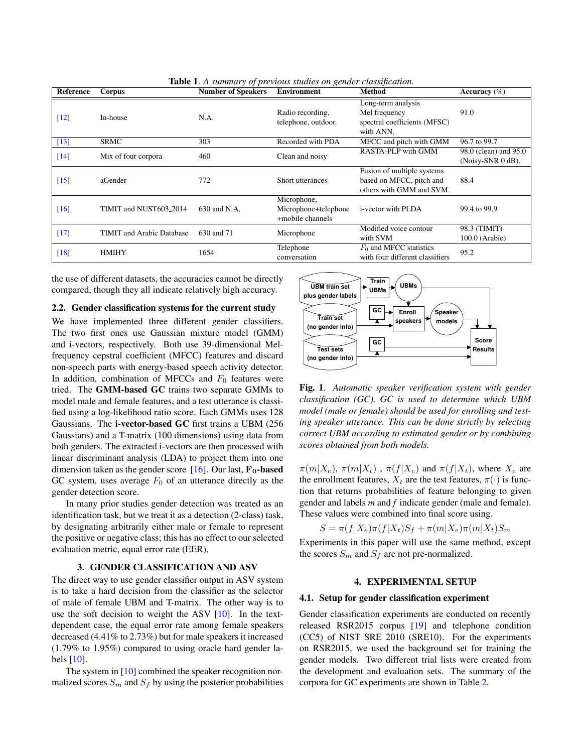| Reference          | Corpus                             | $\mathbf{v}$ $\mathbf{r}$<br><b>Number of Speakers</b> | <b>Environment</b>                                      | <b>Method</b>                                                                      | Accuracy $(\%)$                            |
|--------------------|------------------------------------|--------------------------------------------------------|---------------------------------------------------------|------------------------------------------------------------------------------------|--------------------------------------------|
| $\lceil 12 \rceil$ | In-house                           | N.A.                                                   | Radio recording,<br>telephone, outdoor.                 | Long-term analysis<br>Mel frequency<br>spectral coefficients (MFSC)<br>with ANN.   | 91.0                                       |
| $\lceil 13 \rceil$ | <b>SRMC</b>                        | 303                                                    | Recorded with PDA                                       | MFCC and pitch with GMM                                                            | 96.7 to 99.7                               |
| $[14]$             | Mix of four corpora                | 460                                                    | Clean and noisy                                         | RASTA-PLP with GMM                                                                 | 98.0 (clean) and 95.0<br>(Noisy-SNR 0 dB). |
| $\lceil 15 \rceil$ | aGender                            | 772                                                    | Short utterances                                        | Fusion of multiple systems<br>based on MFCC, pitch and<br>others with GMM and SVM. | 88.4                                       |
| $\lceil 16 \rceil$ | TIMIT and NUST603 <sub>-2014</sub> | 630 and N.A.                                           | Microphone,<br>Microphone+telephone<br>+mobile channels | <i>i</i> -vector with PLDA                                                         | 99.4 to 99.9                               |
| [17]               | <b>TIMIT</b> and Arabic Database   | 630 and 71                                             | Microphone                                              | Modified voice contour<br>with SVM                                                 | 98.3 (TIMIT)<br>$100.0$ (Arabic)           |
| $\lceil 18 \rceil$ | <b>HMIHY</b>                       | 1654                                                   | Telephone<br>conversation                               | $F_0$ and MFCC statistics<br>with four different classifiers                       | 95.2                                       |

<span id="page-1-0"></span>Table 1. *A summary of previous studies on gender classification.*

the use of different datasets, the accuracies cannot be directly compared, though they all indicate relatively high accuracy.

## 2.2. Gender classification systems for the current study

We have implemented three different gender classifiers. The two first ones use Gaussian mixture model (GMM) and i-vectors, respectively. Both use 39-dimensional Melfrequency cepstral coefficient (MFCC) features and discard non-speech parts with energy-based speech activity detector. In addition, combination of MFCCs and  $F_0$  features were tried. The GMM-based GC trains two separate GMMs to model male and female features, and a test utterance is classified using a log-likelihood ratio score. Each GMMs uses 128 Gaussians. The i-vector-based GC first trains a UBM (256 Gaussians) and a T-matrix (100 dimensions) using data from both genders. The extracted i-vectors are then processed with linear discriminant analysis (LDA) to project them into one dimension taken as the gender score [\[16\]](#page-4-15). Our last,  $\mathbf{F}_0$ -based GC system, uses average  $F_0$  of an utterance directly as the gender detection score.

In many prior studies gender detection was treated as an identification task, but we treat it as a detection (2-class) task, by designating arbitrarily either male or female to represent the positive or negative class; this has no effect to our selected evaluation metric, equal error rate (EER).

## 3. GENDER CLASSIFICATION AND ASV

The direct way to use gender classifier output in ASV system is to take a hard decision from the classifier as the selector of male of female UBM and T-matrix. The other way is to use the soft decision to weight the ASV [\[10\]](#page-4-9). In the textdependent case, the equal error rate among female speakers decreased (4.41% to 2.73%) but for male speakers it increased (1.79% to 1.95%) compared to using oracle hard gender labels [\[10\]](#page-4-9).

The system in [\[10\]](#page-4-9) combined the speaker recognition normalized scores  $S_m$  and  $S_f$  by using the posterior probabilities



Fig. 1. *Automatic speaker verification system with gender classification (GC). GC is used to determine which UBM model (male or female) should be used for enrolling and testing speaker utterance. This can be done strictly by selecting correct UBM according to estimated gender or by combining scores obtained from both models.*

 $\pi(m|X_e)$ ,  $\pi(m|X_t)$ ,  $\pi(f|X_e)$  and  $\pi(f|X_t)$ , where  $X_e$  are the enrollment features,  $X_t$  are the test features,  $\pi(\cdot)$  is function that returns probabilities of feature belonging to given gender and labels *m* and *f* indicate gender (male and female). These values were combined into final score using.

$$
S = \pi(f|X_e)\pi(f|X_t)S_f + \pi(m|X_e)\pi(m|X_t)S_m
$$

Experiments in this paper will use the same method, except the scores  $S_m$  and  $S_f$  are not pre-normalized.

## 4. EXPERIMENTAL SETUP

#### 4.1. Setup for gender classification experiment

Gender classification experiments are conducted on recently released RSR2015 corpus [\[19\]](#page-4-18) and telephone condition (CC5) of NIST SRE 2010 (SRE10). For the experiments on RSR2015, we used the background set for training the gender models. Two different trial lists were created from the development and evaluation sets. The summary of the corpora for GC experiments are shown in Table [2.](#page-2-0)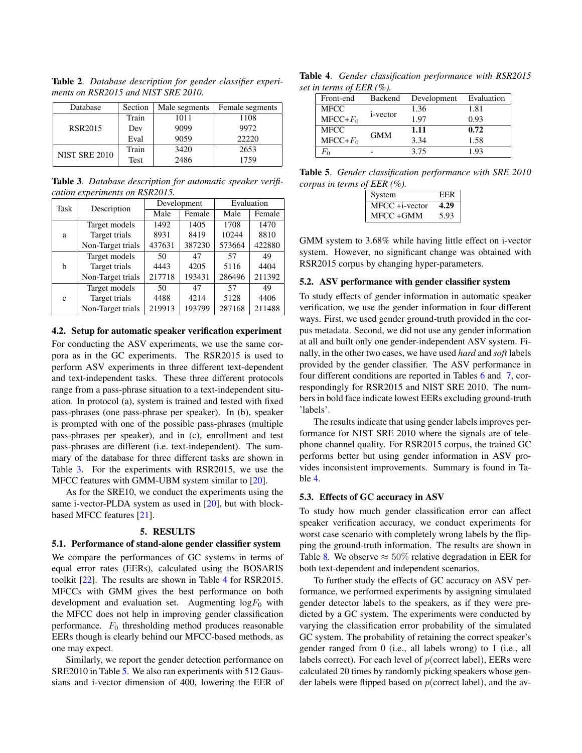<span id="page-2-0"></span>Table 2. *Database description for gender classifier experiments on RSR2015 and NIST SRE 2010.*

| Database             | Section | Male segments | Female segments |
|----------------------|---------|---------------|-----------------|
|                      | Train   | 1011          | 1108            |
| <b>RSR2015</b>       | Dev     | 9099          | 9972            |
|                      | Eval    | 9059          | 22220           |
| <b>NIST SRE 2010</b> | Train   | 3420          | 2653            |
|                      | Test    | 2486          | 1759            |

<span id="page-2-1"></span>Table 3. *Database description for automatic speaker verification experiments on RSR2015.*

| Task         | Description       | Development |        | Evaluation |        |
|--------------|-------------------|-------------|--------|------------|--------|
|              |                   | Male        | Female | Male       | Female |
|              | Target models     | 1492        | 1405   | 1708       | 1470   |
| a            | Target trials     | 8931        | 8419   | 10244      | 8810   |
|              | Non-Target trials | 437631      | 387230 | 573664     | 422880 |
|              | Target models     | 50          | 47     | 57         | 49     |
| b            | Target trials     | 4443        | 4205   | 5116       | 4404   |
|              | Non-Target trials | 217718      | 193431 | 286496     | 211392 |
| $\mathbf{C}$ | Target models     | 50          | 47     | 57         | 49     |
|              | Target trials     | 4488        | 4214   | 5128       | 4406   |
|              | Non-Target trials | 219913      | 193799 | 287168     | 211488 |

#### 4.2. Setup for automatic speaker verification experiment

For conducting the ASV experiments, we use the same corpora as in the GC experiments. The RSR2015 is used to perform ASV experiments in three different text-dependent and text-independent tasks. These three different protocols range from a pass-phrase situation to a text-independent situation. In protocol (a), system is trained and tested with fixed pass-phrases (one pass-phrase per speaker). In (b), speaker is prompted with one of the possible pass-phrases (multiple pass-phrases per speaker), and in (c), enrollment and test pass-phrases are different (i.e. text-independent). The summary of the database for three different tasks are shown in Table [3.](#page-2-1) For the experiments with RSR2015, we use the MFCC features with GMM-UBM system similar to [\[20\]](#page-4-19).

As for the SRE10, we conduct the experiments using the same i-vector-PLDA system as used in [\[20\]](#page-4-19), but with blockbased MFCC features [\[21\]](#page-4-20).

## 5. RESULTS

#### 5.1. Performance of stand-alone gender classifier system

We compare the performances of GC systems in terms of equal error rates (EERs), calculated using the BOSARIS toolkit [\[22\]](#page-4-21). The results are shown in Table [4](#page-2-2) for RSR2015. MFCCs with GMM gives the best performance on both development and evaluation set. Augmenting  $log F_0$  with the MFCC does not help in improving gender classification performance.  $F_0$  thresholding method produces reasonable EERs though is clearly behind our MFCC-based methods, as one may expect.

Similarly, we report the gender detection performance on SRE2010 in Table [5.](#page-2-3) We also ran experiments with 512 Gaussians and i-vector dimension of 400, lowering the EER of

Table 4. *Gender classification performance with RSR2015 set in terms of EER (%).*

<span id="page-2-2"></span>

| Front-end    | Backend          | Development | Evaluation |
|--------------|------------------|-------------|------------|
| <b>MFCC</b>  | <i>i</i> -vector | 1.36        | 1.81       |
| $MFCC + F0$  |                  | 1.97        | 0.93       |
| <b>MFCC</b>  | <b>GMM</b>       | 1.11        | 0.72       |
| $MFCC + F_0$ |                  | 3.34        | 1.58       |
| $F_{\Omega}$ |                  | 3.75        | 1 93       |
|              |                  |             |            |

Table 5. *Gender classification performance with SRE 2010 corpus in terms of EER (%).*

<span id="page-2-3"></span>

| System            | EER  |
|-------------------|------|
| $MFCC + i-vector$ | 4.29 |
| MFCC+GMM          | 5.93 |

GMM system to 3.68% while having little effect on i-vector system. However, no significant change was obtained with RSR2015 corpus by changing hyper-parameters.

## 5.2. ASV performance with gender classifier system

To study effects of gender information in automatic speaker verification, we use the gender information in four different ways. First, we used gender ground-truth provided in the corpus metadata. Second, we did not use any gender information at all and built only one gender-independent ASV system. Finally, in the other two cases, we have used *hard* and *soft* labels provided by the gender classifier. The ASV performance in four different conditions are reported in Tables [6](#page-3-0) and [7,](#page-3-1) correspondingly for RSR2015 and NIST SRE 2010. The numbers in bold face indicate lowest EERs excluding ground-truth 'labels'.

The results indicate that using gender labels improves performance for NIST SRE 2010 where the signals are of telephone channel quality. For RSR2015 corpus, the trained GC performs better but using gender information in ASV provides inconsistent improvements. Summary is found in Table [4.](#page-2-2)

## 5.3. Effects of GC accuracy in ASV

To study how much gender classification error can affect speaker verification accuracy, we conduct experiments for worst case scenario with completely wrong labels by the flipping the ground-truth information. The results are shown in Table [8.](#page-3-2) We observe  $\approx 50\%$  relative degradation in EER for both text-dependent and independent scenarios.

To further study the effects of GC accuracy on ASV performance, we performed experiments by assigning simulated gender detector labels to the speakers, as if they were predicted by a GC system. The experiments were conducted by varying the classification error probability of the simulated GC system. The probability of retaining the correct speaker's gender ranged from 0 (i.e., all labels wrong) to 1 (i.e., all labels correct). For each level of  $p$ (correct label), EERs were calculated 20 times by randomly picking speakers whose gender labels were flipped based on  $p$ (correct label), and the av-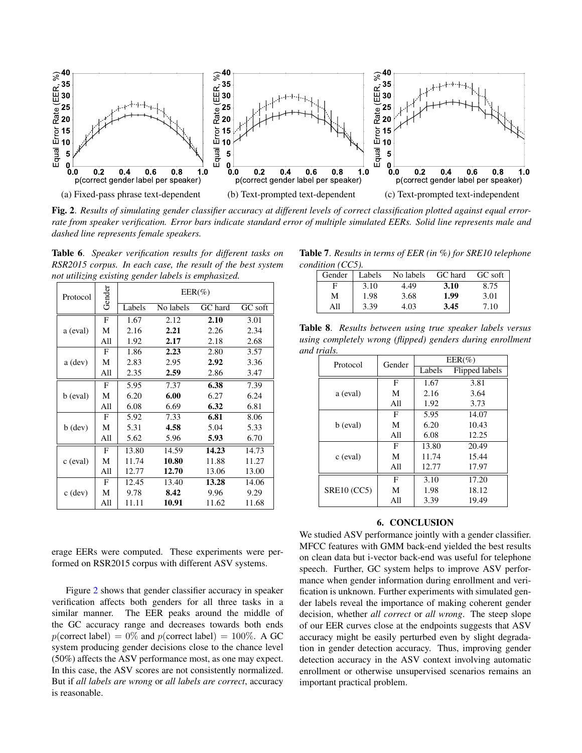

<span id="page-3-3"></span>Fig. 2. *Results of simulating gender classifier accuracy at different levels of correct classification plotted against equal errorrate from speaker verification. Error bars indicate standard error of multiple simulated EERs. Solid line represents male and dashed line represents female speakers.*

<span id="page-3-0"></span>Table 6. *Speaker verification results for different tasks on RSR2015 corpus. In each case, the result of the best system not utilizing existing gender labels is emphasized.*

| Protocol  | Gender | $EER(\%)$ |           |         |         |  |
|-----------|--------|-----------|-----------|---------|---------|--|
|           |        | Labels    | No labels | GC hard | GC soft |  |
|           | F      | 1.67      | 2.12      | 2.10    | 3.01    |  |
| a (eval)  | М      | 2.16      | 2.21      | 2.26    | 2.34    |  |
|           | All    | 1.92      | 2.17      | 2.18    | 2.68    |  |
|           | F      | 1.86      | 2.23      | 2.80    | 3.57    |  |
| a (dev)   | М      | 2.83      | 2.95      | 2.92    | 3.36    |  |
|           | All    | 2.35      | 2.59      | 2.86    | 3.47    |  |
|           | F      | 5.95      | 7.37      | 6.38    | 7.39    |  |
| b (eval)  | M      | 6.20      | 6.00      | 6.27    | 6.24    |  |
|           | All    | 6.08      | 6.69      | 6.32    | 6.81    |  |
|           | F      | 5.92      | 7.33      | 6.81    | 8.06    |  |
| $b$ (dev) | М      | 5.31      | 4.58      | 5.04    | 5.33    |  |
|           | All    | 5.62      | 5.96      | 5.93    | 6.70    |  |
|           | F      | 13.80     | 14.59     | 14.23   | 14.73   |  |
| c (eval)  | М      | 11.74     | 10.80     | 11.88   | 11.27   |  |
|           | All    | 12.77     | 12.70     | 13.06   | 13.00   |  |
|           | F      | 12.45     | 13.40     | 13.28   | 14.06   |  |
| $c$ (dev) | М      | 9.78      | 8.42      | 9.96    | 9.29    |  |
|           | All    | 11.11     | 10.91     | 11.62   | 11.68   |  |

erage EERs were computed. These experiments were performed on RSR2015 corpus with different ASV systems.

Figure [2](#page-3-3) shows that gender classifier accuracy in speaker verification affects both genders for all three tasks in a similar manner. The EER peaks around the middle of the GC accuracy range and decreases towards both ends  $p(\text{correct label}) = 0\%$  and  $p(\text{correct label}) = 100\%.$  A GC system producing gender decisions close to the chance level (50%) affects the ASV performance most, as one may expect. In this case, the ASV scores are not consistently normalized. But if *all labels are wrong* or *all labels are correct*, accuracy is reasonable.

Table 7. *Results in terms of EER (in %) for SRE10 telephone condition (CC5).*

<span id="page-3-1"></span>

|     |      | Gender   Labels No labels | GC hard | GC soft |
|-----|------|---------------------------|---------|---------|
|     | 3.10 | 4.49                      | 3.10    | 8.75    |
| М   | 1.98 | 3.68                      | 1.99    | 3.01    |
| All | 3.39 | 4.03                      | 3.45    | 7.10    |

<span id="page-3-2"></span>Table 8. *Results between using true speaker labels versus using completely wrong (flipped) genders during enrollment and trials.*

| .<br>Protocol      | Gender | $EER(\%)$ |                |  |
|--------------------|--------|-----------|----------------|--|
|                    |        | Labels    | Flipped labels |  |
|                    | F      | 1.67      | 3.81           |  |
| a (eval)           | М      | 2.16      | 3.64           |  |
|                    | All    | 1.92      | 3.73           |  |
|                    | F      | 5.95      | 14.07          |  |
| b (eval)           | М      | 6.20      | 10.43          |  |
|                    | All    | 6.08      | 12.25          |  |
|                    | F      | 13.80     | 20.49          |  |
| c (eval)           | М      | 11.74     | 15.44          |  |
|                    | All    | 12.77     | 17.97          |  |
|                    | F      | 3.10      | 17.20          |  |
| <b>SRE10 (CC5)</b> | М      | 1.98      | 18.12          |  |
|                    | All    | 3.39      | 19.49          |  |

### 6. CONCLUSION

We studied ASV performance jointly with a gender classifier. MFCC features with GMM back-end yielded the best results on clean data but i-vector back-end was useful for telephone speech. Further, GC system helps to improve ASV performance when gender information during enrollment and verification is unknown. Further experiments with simulated gender labels reveal the importance of making coherent gender decision, whether *all correct* or *all wrong*. The steep slope of our EER curves close at the endpoints suggests that ASV accuracy might be easily perturbed even by slight degradation in gender detection accuracy. Thus, improving gender detection accuracy in the ASV context involving automatic enrollment or otherwise unsupervised scenarios remains an important practical problem.